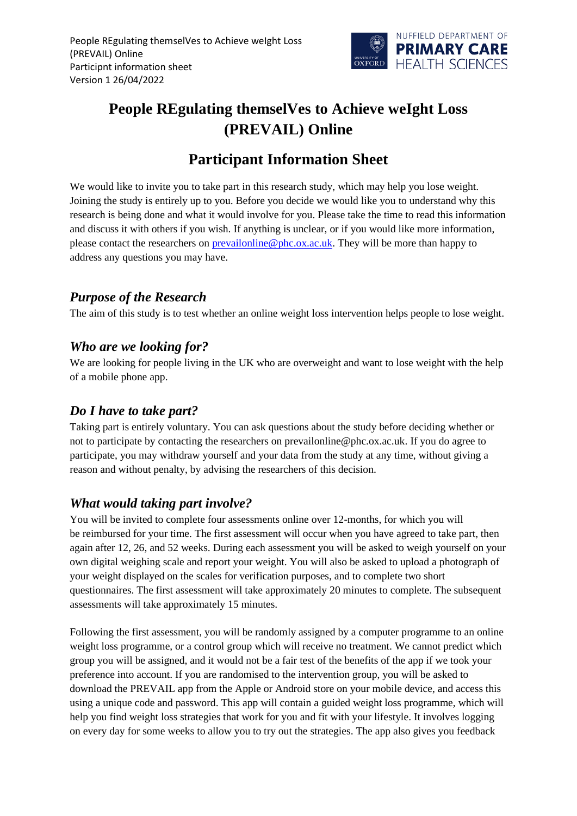

# **People REgulating themselVes to Achieve weIght Loss (PREVAIL) Online**

## **Participant Information Sheet**

We would like to invite you to take part in this research study, which may help you lose weight. Joining the study is entirely up to you. Before you decide we would like you to understand why this research is being done and what it would involve for you. Please take the time to read this information and discuss it with others if you wish. If anything is unclear, or if you would like more information, please contact the researchers on **prevailonline@phc.ox.ac.uk**. They will be more than happy to address any questions you may have.

#### *Purpose of the Research*

The aim of this study is to test whether an online weight loss intervention helps people to lose weight.

#### *Who are we looking for?*

We are looking for people living in the UK who are overweight and want to lose weight with the help of a mobile phone app.

#### *Do I have to take part?*

Taking part is entirely voluntary. You can ask questions about the study before deciding whether or not to participate by contacting the researchers on prevailonline@phc.ox.ac.uk. If you do agree to participate, you may withdraw yourself and your data from the study at any time, without giving a reason and without penalty, by advising the researchers of this decision.

### *What would taking part involve?*

You will be invited to complete four assessments online over 12-months, for which you will be reimbursed for your time. The first assessment will occur when you have agreed to take part, then again after 12, 26, and 52 weeks. During each assessment you will be asked to weigh yourself on your own digital weighing scale and report your weight. You will also be asked to upload a photograph of your weight displayed on the scales for verification purposes, and to complete two short questionnaires. The first assessment will take approximately 20 minutes to complete. The subsequent assessments will take approximately 15 minutes.

Following the first assessment, you will be randomly assigned by a computer programme to an online weight loss programme, or a control group which will receive no treatment. We cannot predict which group you will be assigned, and it would not be a fair test of the benefits of the app if we took your preference into account. If you are randomised to the intervention group, you will be asked to download the PREVAIL app from the Apple or Android store on your mobile device, and access this using a unique code and password. This app will contain a guided weight loss programme, which will help you find weight loss strategies that work for you and fit with your lifestyle. It involves logging on every day for some weeks to allow you to try out the strategies. The app also gives you feedback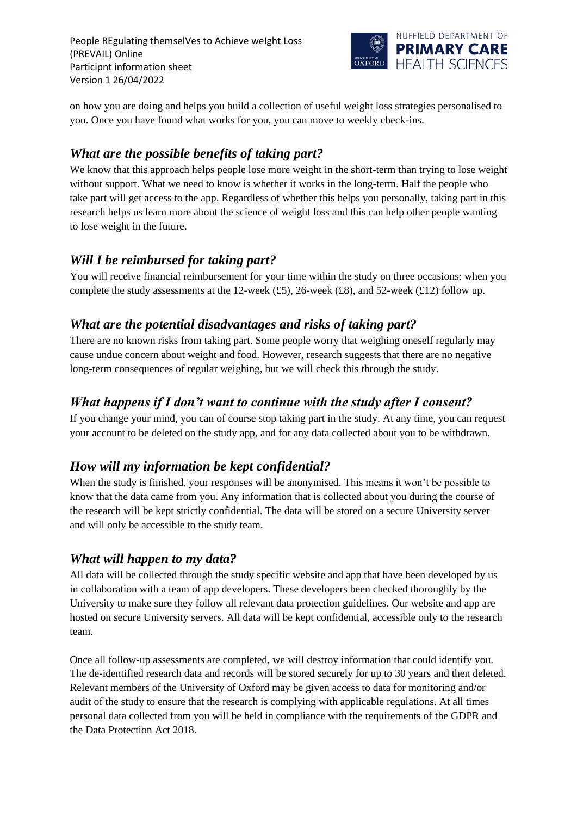People REgulating themselVes to Achieve weIght Loss (PREVAIL) Online Participnt information sheet Version 1 26/04/2022



on how you are doing and helps you build a collection of useful weight loss strategies personalised to you. Once you have found what works for you, you can move to weekly check-ins.

#### *What are the possible benefits of taking part?*

We know that this approach helps people lose more weight in the short-term than trying to lose weight without support. What we need to know is whether it works in the long-term. Half the people who take part will get access to the app. Regardless of whether this helps you personally, taking part in this research helps us learn more about the science of weight loss and this can help other people wanting to lose weight in the future.

#### *Will I be reimbursed for taking part?*

You will receive financial reimbursement for your time within the study on three occasions: when you complete the study assessments at the 12-week (£5), 26-week (£8), and 52-week (£12) follow up.

#### *What are the potential disadvantages and risks of taking part?*

There are no known risks from taking part. Some people worry that weighing oneself regularly may cause undue concern about weight and food. However, research suggests that there are no negative long-term consequences of regular weighing, but we will check this through the study.

#### *What happens if I don't want to continue with the study after I consent?*

If you change your mind, you can of course stop taking part in the study. At any time, you can request your account to be deleted on the study app, and for any data collected about you to be withdrawn.

### *How will my information be kept confidential?*

When the study is finished, your responses will be anonymised. This means it won't be possible to know that the data came from you. Any information that is collected about you during the course of the research will be kept strictly confidential. The data will be stored on a secure University server and will only be accessible to the study team.

#### *What will happen to my data?*

All data will be collected through the study specific website and app that have been developed by us in collaboration with a team of app developers. These developers been checked thoroughly by the University to make sure they follow all relevant data protection guidelines. Our website and app are hosted on secure University servers. All data will be kept confidential, accessible only to the research team.

Once all follow-up assessments are completed, we will destroy information that could identify you. The de-identified research data and records will be stored securely for up to 30 years and then deleted. Relevant members of the University of Oxford may be given access to data for monitoring and/or audit of the study to ensure that the research is complying with applicable regulations. At all times personal data collected from you will be held in compliance with the requirements of the GDPR and the Data Protection Act 2018.